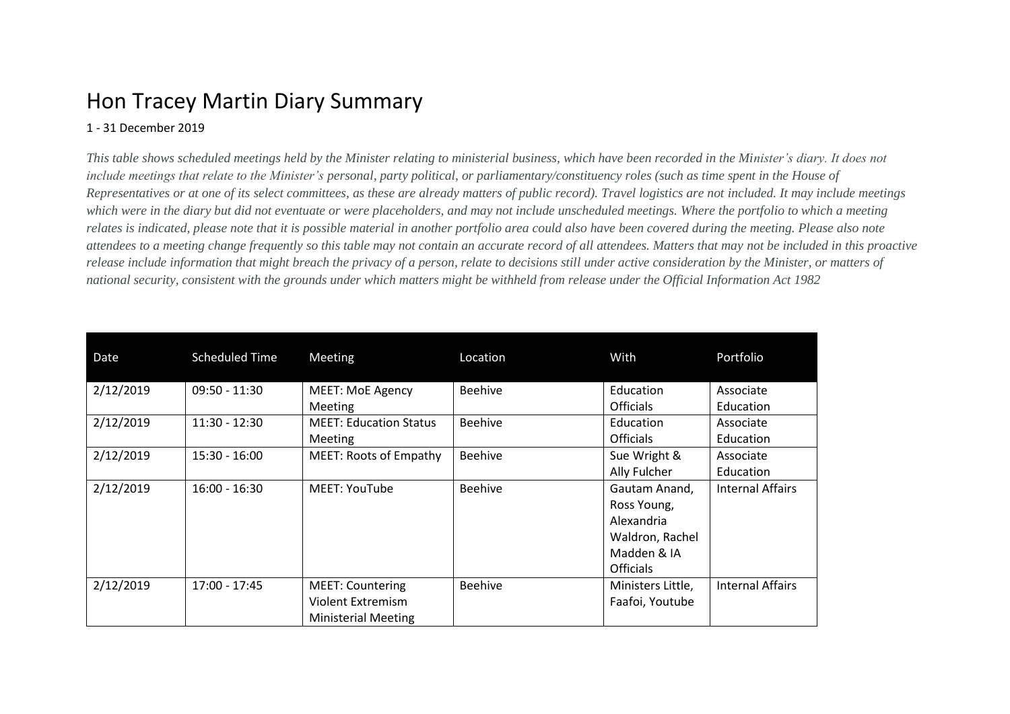## Hon Tracey Martin Diary Summary

## 1 - 31 December 2019

*This table shows scheduled meetings held by the Minister relating to ministerial business, which have been recorded in the Minister's diary. It does not include meetings that relate to the Minister's personal, party political, or parliamentary/constituency roles (such as time spent in the House of Representatives or at one of its select committees, as these are already matters of public record). Travel logistics are not included. It may include meetings which were in the diary but did not eventuate or were placeholders, and may not include unscheduled meetings. Where the portfolio to which a meeting relates is indicated, please note that it is possible material in another portfolio area could also have been covered during the meeting. Please also note attendees to a meeting change frequently so this table may not contain an accurate record of all attendees. Matters that may not be included in this proactive release include information that might breach the privacy of a person, relate to decisions still under active consideration by the Minister, or matters of national security, consistent with the grounds under which matters might be withheld from release under the Official Information Act 1982*

| Date      | <b>Scheduled Time</b> | Meeting                                                                    | Location       | With                                                                                             | Portfolio               |
|-----------|-----------------------|----------------------------------------------------------------------------|----------------|--------------------------------------------------------------------------------------------------|-------------------------|
| 2/12/2019 | $09:50 - 11:30$       | <b>MEET: MoE Agency</b><br>Meeting                                         | Beehive        | Education<br><b>Officials</b>                                                                    | Associate<br>Education  |
| 2/12/2019 | $11:30 - 12:30$       | <b>MEET: Education Status</b><br><b>Meeting</b>                            | Beehive        | Education<br><b>Officials</b>                                                                    | Associate<br>Education  |
| 2/12/2019 | $15:30 - 16:00$       | <b>MEET: Roots of Empathy</b>                                              | <b>Beehive</b> | Sue Wright &<br>Ally Fulcher                                                                     | Associate<br>Education  |
| 2/12/2019 | $16:00 - 16:30$       | <b>MEET: YouTube</b>                                                       | <b>Beehive</b> | Gautam Anand,<br>Ross Young,<br>Alexandria<br>Waldron, Rachel<br>Madden & IA<br><b>Officials</b> | <b>Internal Affairs</b> |
| 2/12/2019 | 17:00 - 17:45         | <b>MEET: Countering</b><br>Violent Extremism<br><b>Ministerial Meeting</b> | <b>Beehive</b> | Ministers Little,<br>Faafoi, Youtube                                                             | <b>Internal Affairs</b> |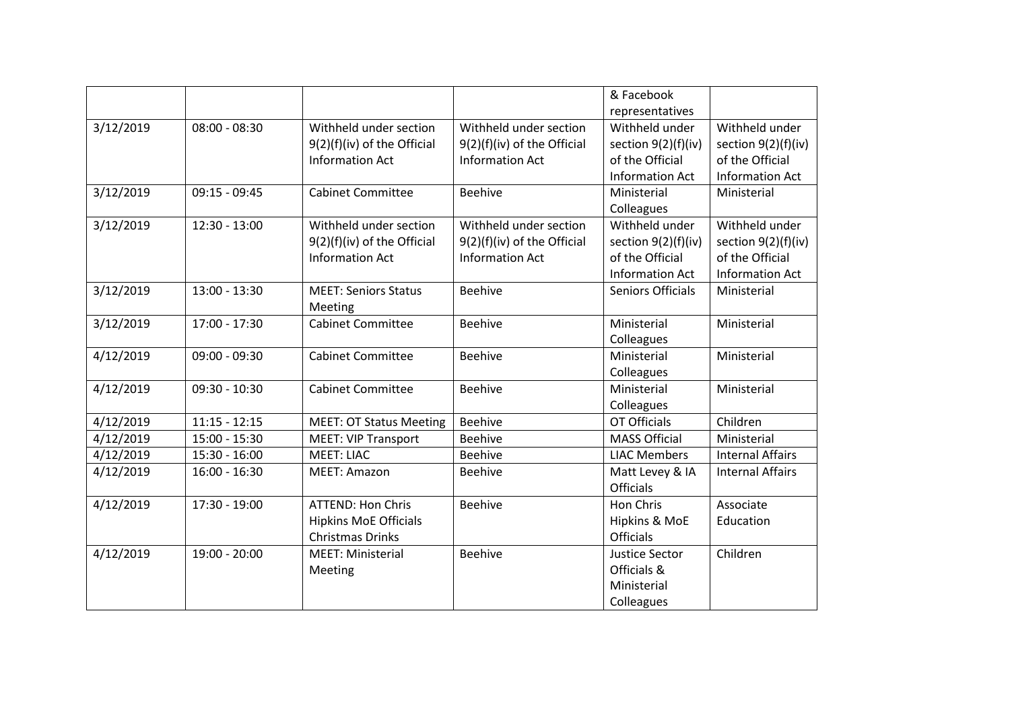|           |                 |                                |                             | & Facebook             |                         |
|-----------|-----------------|--------------------------------|-----------------------------|------------------------|-------------------------|
|           |                 |                                |                             | representatives        |                         |
| 3/12/2019 | $08:00 - 08:30$ | Withheld under section         | Withheld under section      | Withheld under         | Withheld under          |
|           |                 | 9(2)(f)(iv) of the Official    | 9(2)(f)(iv) of the Official | section 9(2)(f)(iv)    | section $9(2)(f)(iv)$   |
|           |                 | <b>Information Act</b>         | <b>Information Act</b>      | of the Official        | of the Official         |
|           |                 |                                |                             | <b>Information Act</b> | <b>Information Act</b>  |
| 3/12/2019 | $09:15 - 09:45$ | <b>Cabinet Committee</b>       | <b>Beehive</b>              | Ministerial            | Ministerial             |
|           |                 |                                |                             | Colleagues             |                         |
| 3/12/2019 | $12:30 - 13:00$ | Withheld under section         | Withheld under section      | Withheld under         | Withheld under          |
|           |                 | 9(2)(f)(iv) of the Official    | 9(2)(f)(iv) of the Official | section $9(2)(f)(iv)$  | section $9(2)(f)(iv)$   |
|           |                 | <b>Information Act</b>         | <b>Information Act</b>      | of the Official        | of the Official         |
|           |                 |                                |                             | <b>Information Act</b> | <b>Information Act</b>  |
| 3/12/2019 | 13:00 - 13:30   | <b>MEET: Seniors Status</b>    | <b>Beehive</b>              | Seniors Officials      | Ministerial             |
|           |                 | Meeting                        |                             |                        |                         |
| 3/12/2019 | 17:00 - 17:30   | <b>Cabinet Committee</b>       | Beehive                     | Ministerial            | Ministerial             |
|           |                 |                                |                             | Colleagues             |                         |
| 4/12/2019 | $09:00 - 09:30$ | <b>Cabinet Committee</b>       | <b>Beehive</b>              | Ministerial            | Ministerial             |
|           |                 |                                |                             | Colleagues             |                         |
| 4/12/2019 | $09:30 - 10:30$ | <b>Cabinet Committee</b>       | <b>Beehive</b>              | Ministerial            | Ministerial             |
|           |                 |                                |                             | Colleagues             |                         |
| 4/12/2019 | $11:15 - 12:15$ | <b>MEET: OT Status Meeting</b> | Beehive                     | <b>OT Officials</b>    | Children                |
| 4/12/2019 | 15:00 - 15:30   | <b>MEET: VIP Transport</b>     | <b>Beehive</b>              | <b>MASS Official</b>   | Ministerial             |
| 4/12/2019 | $15:30 - 16:00$ | <b>MEET: LIAC</b>              | Beehive                     | <b>LIAC Members</b>    | <b>Internal Affairs</b> |
| 4/12/2019 | $16:00 - 16:30$ | MEET: Amazon                   | <b>Beehive</b>              | Matt Levey & IA        | <b>Internal Affairs</b> |
|           |                 |                                |                             | <b>Officials</b>       |                         |
| 4/12/2019 | 17:30 - 19:00   | <b>ATTEND: Hon Chris</b>       | <b>Beehive</b>              | Hon Chris              | Associate               |
|           |                 | <b>Hipkins MoE Officials</b>   |                             | Hipkins & MoE          | Education               |
|           |                 | <b>Christmas Drinks</b>        |                             | <b>Officials</b>       |                         |
| 4/12/2019 | 19:00 - 20:00   | <b>MEET: Ministerial</b>       | <b>Beehive</b>              | Justice Sector         | Children                |
|           |                 | Meeting                        |                             | Officials &            |                         |
|           |                 |                                |                             | Ministerial            |                         |
|           |                 |                                |                             | Colleagues             |                         |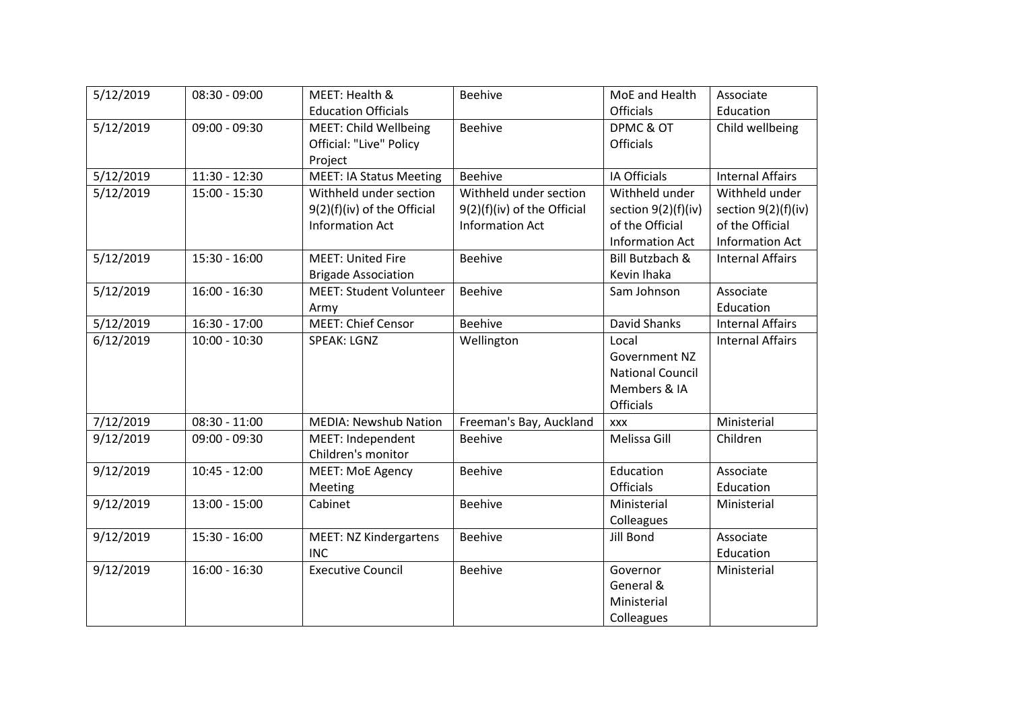| 5/12/2019 | $08:30 - 09:00$ | MEET: Health &                 | <b>Beehive</b>              | MoE and Health          | Associate               |
|-----------|-----------------|--------------------------------|-----------------------------|-------------------------|-------------------------|
|           |                 | <b>Education Officials</b>     |                             | <b>Officials</b>        | Education               |
| 5/12/2019 | $09:00 - 09:30$ | <b>MEET: Child Wellbeing</b>   | <b>Beehive</b>              | DPMC & OT               | Child wellbeing         |
|           |                 | <b>Official: "Live" Policy</b> |                             | <b>Officials</b>        |                         |
|           |                 | Project                        |                             |                         |                         |
| 5/12/2019 | $11:30 - 12:30$ | <b>MEET: IA Status Meeting</b> | <b>Beehive</b>              | IA Officials            | <b>Internal Affairs</b> |
| 5/12/2019 | 15:00 - 15:30   | Withheld under section         | Withheld under section      | Withheld under          | Withheld under          |
|           |                 | 9(2)(f)(iv) of the Official    | 9(2)(f)(iv) of the Official | section $9(2)(f)(iv)$   | section 9(2)(f)(iv)     |
|           |                 | <b>Information Act</b>         | <b>Information Act</b>      | of the Official         | of the Official         |
|           |                 |                                |                             | <b>Information Act</b>  | <b>Information Act</b>  |
| 5/12/2019 | $15:30 - 16:00$ | <b>MEET: United Fire</b>       | <b>Beehive</b>              | Bill Butzbach &         | <b>Internal Affairs</b> |
|           |                 | <b>Brigade Association</b>     |                             | Kevin Ihaka             |                         |
| 5/12/2019 | $16:00 - 16:30$ | <b>MEET: Student Volunteer</b> | <b>Beehive</b>              | Sam Johnson             | Associate               |
|           |                 | Army                           |                             |                         | Education               |
| 5/12/2019 | $16:30 - 17:00$ | <b>MEET: Chief Censor</b>      | <b>Beehive</b>              | David Shanks            | <b>Internal Affairs</b> |
| 6/12/2019 | $10:00 - 10:30$ | <b>SPEAK: LGNZ</b>             | Wellington                  | Local                   | <b>Internal Affairs</b> |
|           |                 |                                |                             | <b>Government NZ</b>    |                         |
|           |                 |                                |                             | <b>National Council</b> |                         |
|           |                 |                                |                             | Members & IA            |                         |
|           |                 |                                |                             | Officials               |                         |
| 7/12/2019 | $08:30 - 11:00$ | <b>MEDIA: Newshub Nation</b>   | Freeman's Bay, Auckland     | XXX                     | Ministerial             |
| 9/12/2019 | $09:00 - 09:30$ | MEET: Independent              | <b>Beehive</b>              | Melissa Gill            | Children                |
|           |                 | Children's monitor             |                             |                         |                         |
| 9/12/2019 | $10:45 - 12:00$ | <b>MEET: MoE Agency</b>        | <b>Beehive</b>              | Education               | Associate               |
|           |                 | Meeting                        |                             | <b>Officials</b>        | Education               |
| 9/12/2019 | $13:00 - 15:00$ | Cabinet                        | <b>Beehive</b>              | Ministerial             | Ministerial             |
|           |                 |                                |                             | Colleagues              |                         |
| 9/12/2019 | 15:30 - 16:00   | <b>MEET: NZ Kindergartens</b>  | Beehive                     | Jill Bond               | Associate               |
|           |                 | <b>INC</b>                     |                             |                         | Education               |
| 9/12/2019 | $16:00 - 16:30$ | <b>Executive Council</b>       | <b>Beehive</b>              | Governor                | Ministerial             |
|           |                 |                                |                             | General &               |                         |
|           |                 |                                |                             | Ministerial             |                         |
|           |                 |                                |                             | Colleagues              |                         |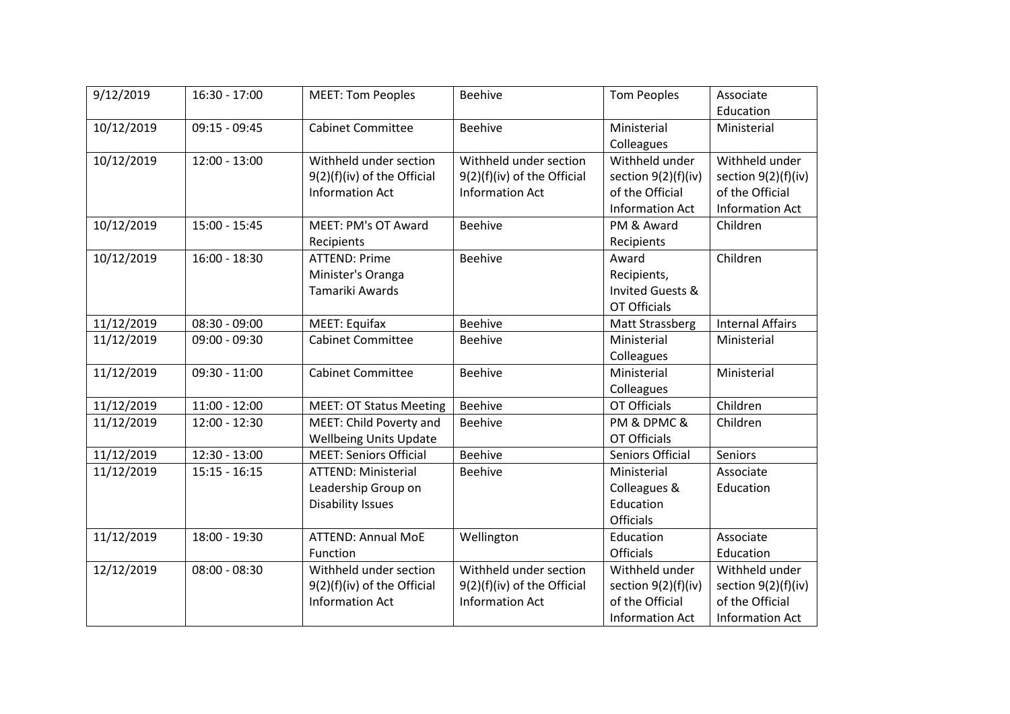| 9/12/2019  | 16:30 - 17:00   | <b>MEET: Tom Peoples</b>       | <b>Beehive</b>              | <b>Tom Peoples</b>          | Associate               |
|------------|-----------------|--------------------------------|-----------------------------|-----------------------------|-------------------------|
|            |                 |                                |                             |                             | Education               |
| 10/12/2019 | $09:15 - 09:45$ | <b>Cabinet Committee</b>       | <b>Beehive</b>              | Ministerial                 | Ministerial             |
|            |                 |                                |                             | Colleagues                  |                         |
| 10/12/2019 | $12:00 - 13:00$ | Withheld under section         | Withheld under section      | Withheld under              | Withheld under          |
|            |                 | 9(2)(f)(iv) of the Official    | 9(2)(f)(iv) of the Official | section $9(2)(f)(iv)$       | section $9(2)(f)(iv)$   |
|            |                 | <b>Information Act</b>         | <b>Information Act</b>      | of the Official             | of the Official         |
|            |                 |                                |                             | <b>Information Act</b>      | <b>Information Act</b>  |
| 10/12/2019 | 15:00 - 15:45   | MEET: PM's OT Award            | <b>Beehive</b>              | PM & Award                  | Children                |
|            |                 | Recipients                     |                             | Recipients                  |                         |
| 10/12/2019 | $16:00 - 18:30$ | <b>ATTEND: Prime</b>           | <b>Beehive</b>              | Award                       | Children                |
|            |                 | Minister's Oranga              |                             | Recipients,                 |                         |
|            |                 | Tamariki Awards                |                             | <b>Invited Guests &amp;</b> |                         |
|            |                 |                                |                             | <b>OT Officials</b>         |                         |
| 11/12/2019 | $08:30 - 09:00$ | <b>MEET: Equifax</b>           | <b>Beehive</b>              | Matt Strassberg             | <b>Internal Affairs</b> |
| 11/12/2019 | $09:00 - 09:30$ | <b>Cabinet Committee</b>       | <b>Beehive</b>              | Ministerial                 | Ministerial             |
|            |                 |                                |                             | Colleagues                  |                         |
| 11/12/2019 | $09:30 - 11:00$ | <b>Cabinet Committee</b>       | <b>Beehive</b>              | Ministerial                 | Ministerial             |
|            |                 |                                |                             | Colleagues                  |                         |
| 11/12/2019 | $11:00 - 12:00$ | <b>MEET: OT Status Meeting</b> | <b>Beehive</b>              | <b>OT Officials</b>         | Children                |
| 11/12/2019 | $12:00 - 12:30$ | MEET: Child Poverty and        | <b>Beehive</b>              | PM & DPMC &                 | Children                |
|            |                 | <b>Wellbeing Units Update</b>  |                             | <b>OT Officials</b>         |                         |
| 11/12/2019 | $12:30 - 13:00$ | <b>MEET: Seniors Official</b>  | <b>Beehive</b>              | Seniors Official            | <b>Seniors</b>          |
| 11/12/2019 | $15:15 - 16:15$ | <b>ATTEND: Ministerial</b>     | <b>Beehive</b>              | Ministerial                 | Associate               |
|            |                 | Leadership Group on            |                             | Colleagues &                | Education               |
|            |                 | <b>Disability Issues</b>       |                             | Education                   |                         |
|            |                 |                                |                             | <b>Officials</b>            |                         |
| 11/12/2019 | 18:00 - 19:30   | <b>ATTEND: Annual MoE</b>      | Wellington                  | Education                   | Associate               |
|            |                 | Function                       |                             | <b>Officials</b>            | Education               |
| 12/12/2019 | $08:00 - 08:30$ | Withheld under section         | Withheld under section      | Withheld under              | Withheld under          |
|            |                 | 9(2)(f)(iv) of the Official    | 9(2)(f)(iv) of the Official | section $9(2)(f)(iv)$       | section $9(2)(f)(iv)$   |
|            |                 | <b>Information Act</b>         | <b>Information Act</b>      | of the Official             | of the Official         |
|            |                 |                                |                             | <b>Information Act</b>      | <b>Information Act</b>  |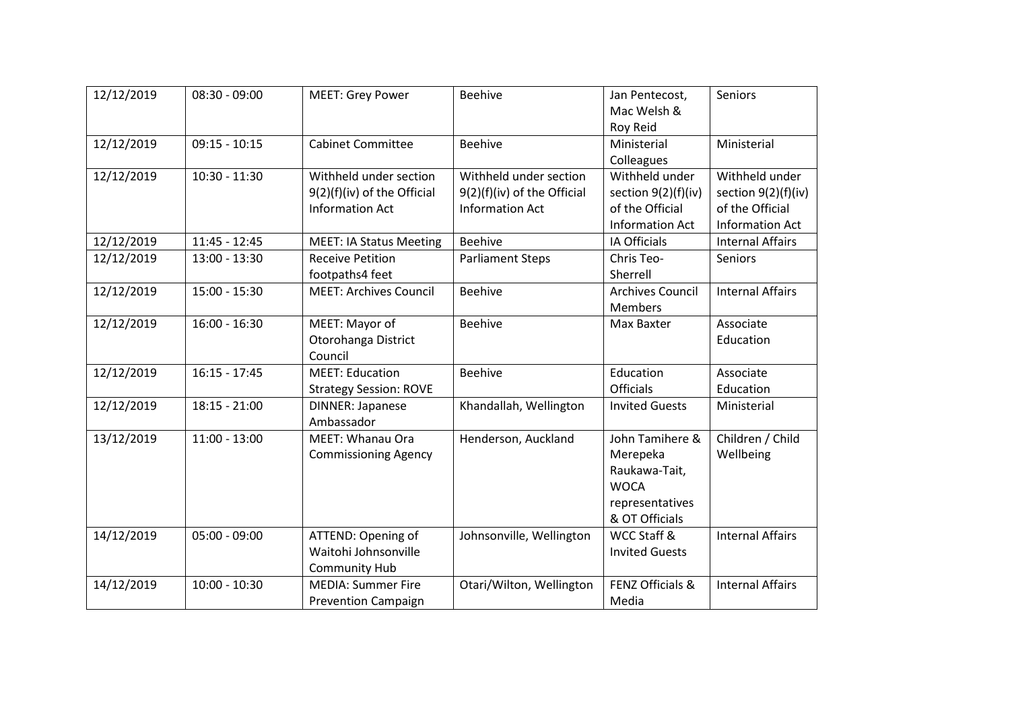| 12/12/2019 | $08:30 - 09:00$ | <b>MEET: Grey Power</b>                                                         | <b>Beehive</b>                                                                  | Jan Pentecost,<br>Mac Welsh &<br>Roy Reid                                                        | Seniors                                                                            |
|------------|-----------------|---------------------------------------------------------------------------------|---------------------------------------------------------------------------------|--------------------------------------------------------------------------------------------------|------------------------------------------------------------------------------------|
| 12/12/2019 | $09:15 - 10:15$ | <b>Cabinet Committee</b>                                                        | Beehive                                                                         | Ministerial<br>Colleagues                                                                        | Ministerial                                                                        |
| 12/12/2019 | $10:30 - 11:30$ | Withheld under section<br>9(2)(f)(iv) of the Official<br><b>Information Act</b> | Withheld under section<br>9(2)(f)(iv) of the Official<br><b>Information Act</b> | Withheld under<br>section $9(2)(f)(iv)$<br>of the Official<br><b>Information Act</b>             | Withheld under<br>section 9(2)(f)(iv)<br>of the Official<br><b>Information Act</b> |
| 12/12/2019 | $11:45 - 12:45$ | <b>MEET: IA Status Meeting</b>                                                  | <b>Beehive</b>                                                                  | IA Officials                                                                                     | <b>Internal Affairs</b>                                                            |
| 12/12/2019 | $13:00 - 13:30$ | <b>Receive Petition</b><br>footpaths4 feet                                      | <b>Parliament Steps</b>                                                         | Chris Teo-<br>Sherrell                                                                           | Seniors                                                                            |
| 12/12/2019 | $15:00 - 15:30$ | <b>MEET: Archives Council</b>                                                   | <b>Beehive</b>                                                                  | <b>Archives Council</b><br><b>Members</b>                                                        | <b>Internal Affairs</b>                                                            |
| 12/12/2019 | $16:00 - 16:30$ | MEET: Mayor of<br>Otorohanga District<br>Council                                | <b>Beehive</b>                                                                  | Max Baxter                                                                                       | Associate<br>Education                                                             |
| 12/12/2019 | $16:15 - 17:45$ | <b>MEET: Education</b><br><b>Strategy Session: ROVE</b>                         | <b>Beehive</b>                                                                  | Education<br><b>Officials</b>                                                                    | Associate<br>Education                                                             |
| 12/12/2019 | $18:15 - 21:00$ | <b>DINNER: Japanese</b><br>Ambassador                                           | Khandallah, Wellington                                                          | <b>Invited Guests</b>                                                                            | Ministerial                                                                        |
| 13/12/2019 | $11:00 - 13:00$ | MEET: Whanau Ora<br><b>Commissioning Agency</b>                                 | Henderson, Auckland                                                             | John Tamihere &<br>Merepeka<br>Raukawa-Tait,<br><b>WOCA</b><br>representatives<br>& OT Officials | Children / Child<br>Wellbeing                                                      |
| 14/12/2019 | $05:00 - 09:00$ | ATTEND: Opening of<br>Waitohi Johnsonville<br><b>Community Hub</b>              | Johnsonville, Wellington                                                        | WCC Staff &<br><b>Invited Guests</b>                                                             | <b>Internal Affairs</b>                                                            |
| 14/12/2019 | $10:00 - 10:30$ | <b>MEDIA: Summer Fire</b><br><b>Prevention Campaign</b>                         | Otari/Wilton, Wellington                                                        | FENZ Officials &<br>Media                                                                        | <b>Internal Affairs</b>                                                            |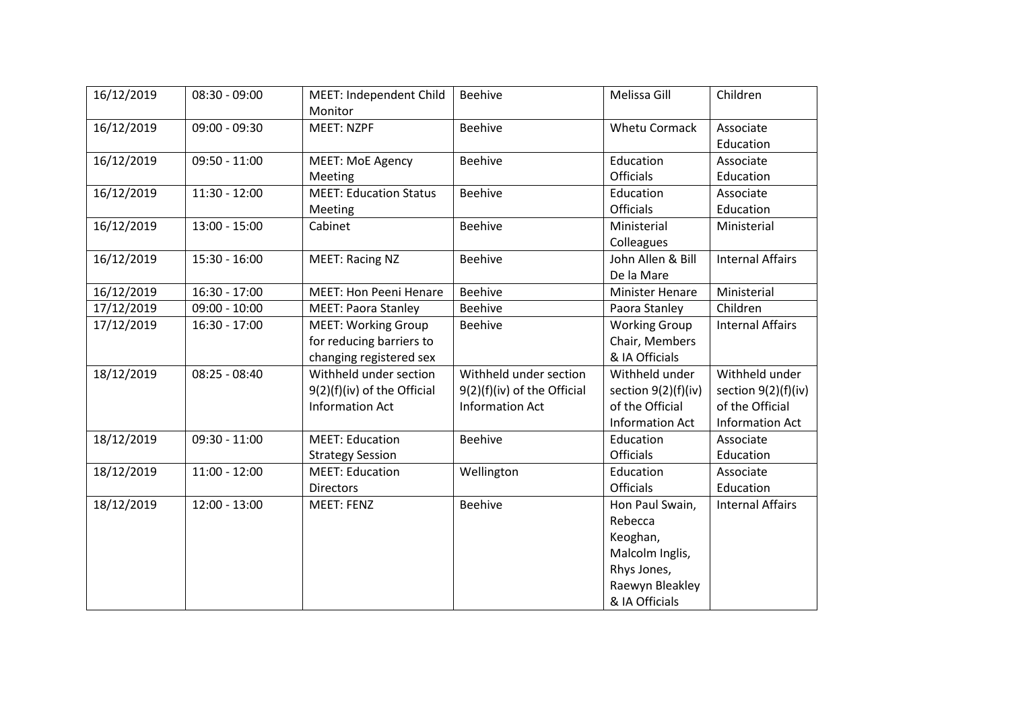| 16/12/2019 | $08:30 - 09:00$ | MEET: Independent Child<br>Monitor | <b>Beehive</b>              | Melissa Gill           | Children                |
|------------|-----------------|------------------------------------|-----------------------------|------------------------|-------------------------|
| 16/12/2019 | $09:00 - 09:30$ | <b>MEET: NZPF</b>                  | <b>Beehive</b>              | <b>Whetu Cormack</b>   | Associate<br>Education  |
| 16/12/2019 | $09:50 - 11:00$ | <b>MEET: MoE Agency</b>            | <b>Beehive</b>              | Education              | Associate               |
|            |                 | Meeting                            |                             | <b>Officials</b>       | Education               |
| 16/12/2019 | $11:30 - 12:00$ | <b>MEET: Education Status</b>      | <b>Beehive</b>              | Education              | Associate               |
|            |                 | Meeting                            |                             | <b>Officials</b>       | Education               |
| 16/12/2019 | $13:00 - 15:00$ | Cabinet                            | <b>Beehive</b>              | Ministerial            | Ministerial             |
|            |                 |                                    |                             | Colleagues             |                         |
| 16/12/2019 | $15:30 - 16:00$ | <b>MEET: Racing NZ</b>             | <b>Beehive</b>              | John Allen & Bill      | <b>Internal Affairs</b> |
|            |                 |                                    |                             | De la Mare             |                         |
| 16/12/2019 | $16:30 - 17:00$ | <b>MEET: Hon Peeni Henare</b>      | Beehive                     | <b>Minister Henare</b> | Ministerial             |
| 17/12/2019 | $09:00 - 10:00$ | <b>MEET: Paora Stanley</b>         | <b>Beehive</b>              | Paora Stanley          | Children                |
| 17/12/2019 | $16:30 - 17:00$ | <b>MEET: Working Group</b>         | <b>Beehive</b>              | <b>Working Group</b>   | <b>Internal Affairs</b> |
|            |                 | for reducing barriers to           |                             | Chair, Members         |                         |
|            |                 | changing registered sex            |                             | & IA Officials         |                         |
| 18/12/2019 | $08:25 - 08:40$ | Withheld under section             | Withheld under section      | Withheld under         | Withheld under          |
|            |                 | 9(2)(f)(iv) of the Official        | 9(2)(f)(iv) of the Official | section $9(2)(f)(iv)$  | section $9(2)(f)(iv)$   |
|            |                 | <b>Information Act</b>             | <b>Information Act</b>      | of the Official        | of the Official         |
|            |                 |                                    |                             | <b>Information Act</b> | <b>Information Act</b>  |
| 18/12/2019 | $09:30 - 11:00$ | <b>MEET: Education</b>             | Beehive                     | Education              | Associate               |
|            |                 | <b>Strategy Session</b>            |                             | <b>Officials</b>       | Education               |
| 18/12/2019 | $11:00 - 12:00$ | <b>MEET: Education</b>             | Wellington                  | Education              | Associate               |
|            |                 | <b>Directors</b>                   |                             | <b>Officials</b>       | Education               |
| 18/12/2019 | $12:00 - 13:00$ | <b>MEET: FENZ</b>                  | Beehive                     | Hon Paul Swain,        | <b>Internal Affairs</b> |
|            |                 |                                    |                             | Rebecca                |                         |
|            |                 |                                    |                             | Keoghan,               |                         |
|            |                 |                                    |                             | Malcolm Inglis,        |                         |
|            |                 |                                    |                             | Rhys Jones,            |                         |
|            |                 |                                    |                             | Raewyn Bleakley        |                         |
|            |                 |                                    |                             | & IA Officials         |                         |